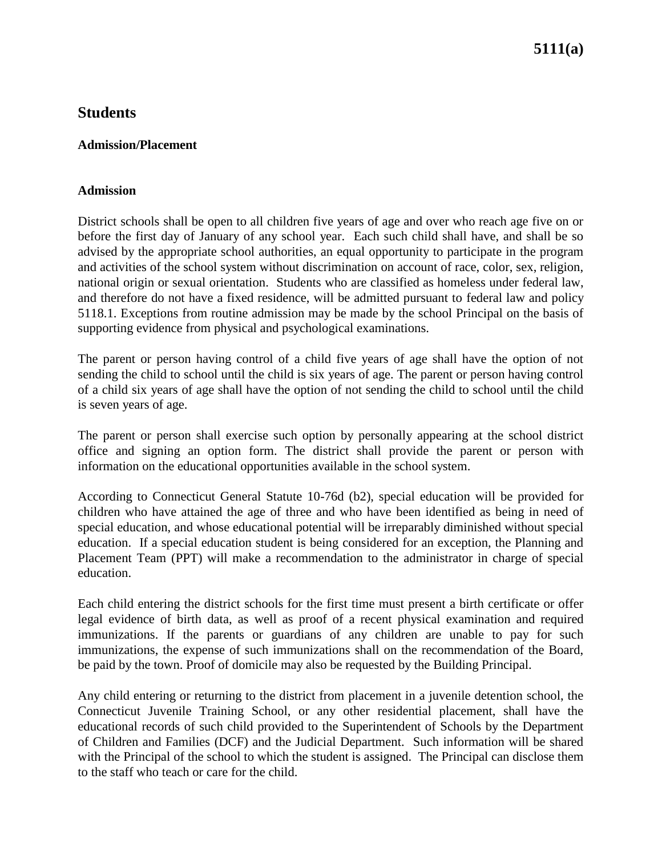# **5111(a)**

## **Students**

#### **Admission/Placement**

#### **Admission**

District schools shall be open to all children five years of age and over who reach age five on or before the first day of January of any school year. Each such child shall have, and shall be so advised by the appropriate school authorities, an equal opportunity to participate in the program and activities of the school system without discrimination on account of race, color, sex, religion, national origin or sexual orientation. Students who are classified as homeless under federal law, and therefore do not have a fixed residence, will be admitted pursuant to federal law and policy 5118.1. Exceptions from routine admission may be made by the school Principal on the basis of supporting evidence from physical and psychological examinations.

The parent or person having control of a child five years of age shall have the option of not sending the child to school until the child is six years of age. The parent or person having control of a child six years of age shall have the option of not sending the child to school until the child is seven years of age.

The parent or person shall exercise such option by personally appearing at the school district office and signing an option form. The district shall provide the parent or person with information on the educational opportunities available in the school system.

According to Connecticut General Statute 10-76d (b2), special education will be provided for children who have attained the age of three and who have been identified as being in need of special education, and whose educational potential will be irreparably diminished without special education. If a special education student is being considered for an exception, the Planning and Placement Team (PPT) will make a recommendation to the administrator in charge of special education.

Each child entering the district schools for the first time must present a birth certificate or offer legal evidence of birth data, as well as proof of a recent physical examination and required immunizations. If the parents or guardians of any children are unable to pay for such immunizations, the expense of such immunizations shall on the recommendation of the Board, be paid by the town. Proof of domicile may also be requested by the Building Principal.

Any child entering or returning to the district from placement in a juvenile detention school, the Connecticut Juvenile Training School, or any other residential placement, shall have the educational records of such child provided to the Superintendent of Schools by the Department of Children and Families (DCF) and the Judicial Department. Such information will be shared with the Principal of the school to which the student is assigned. The Principal can disclose them to the staff who teach or care for the child.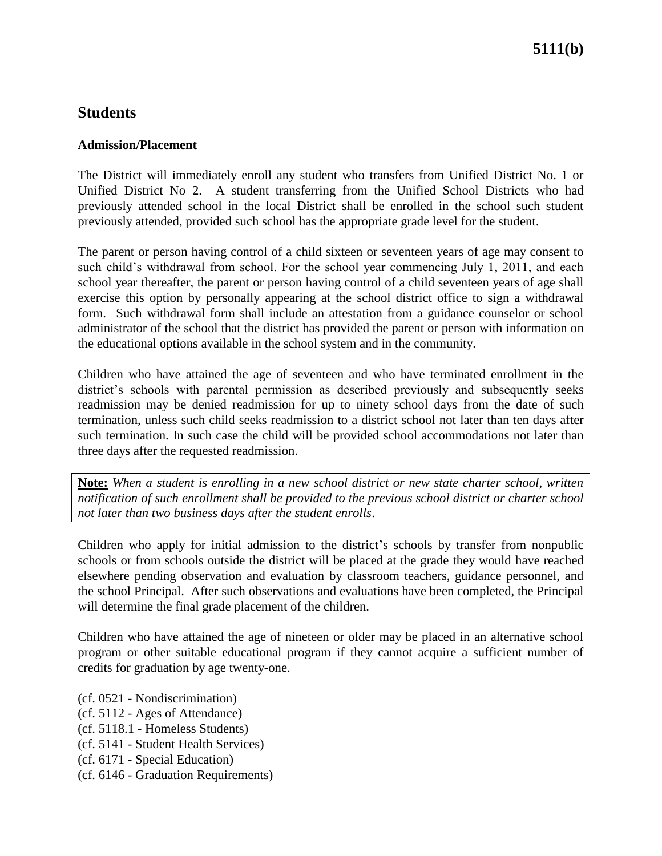## **Students**

### **Admission/Placement**

The District will immediately enroll any student who transfers from Unified District No. 1 or Unified District No 2. A student transferring from the Unified School Districts who had previously attended school in the local District shall be enrolled in the school such student previously attended, provided such school has the appropriate grade level for the student.

The parent or person having control of a child sixteen or seventeen years of age may consent to such child's withdrawal from school. For the school year commencing July 1, 2011, and each school year thereafter, the parent or person having control of a child seventeen years of age shall exercise this option by personally appearing at the school district office to sign a withdrawal form. Such withdrawal form shall include an attestation from a guidance counselor or school administrator of the school that the district has provided the parent or person with information on the educational options available in the school system and in the community.

Children who have attained the age of seventeen and who have terminated enrollment in the district's schools with parental permission as described previously and subsequently seeks readmission may be denied readmission for up to ninety school days from the date of such termination, unless such child seeks readmission to a district school not later than ten days after such termination. In such case the child will be provided school accommodations not later than three days after the requested readmission.

**Note:** *When a student is enrolling in a new school district or new state charter school, written notification of such enrollment shall be provided to the previous school district or charter school not later than two business days after the student enrolls*.

Children who apply for initial admission to the district's schools by transfer from nonpublic schools or from schools outside the district will be placed at the grade they would have reached elsewhere pending observation and evaluation by classroom teachers, guidance personnel, and the school Principal. After such observations and evaluations have been completed, the Principal will determine the final grade placement of the children.

Children who have attained the age of nineteen or older may be placed in an alternative school program or other suitable educational program if they cannot acquire a sufficient number of credits for graduation by age twenty-one.

- (cf. 0521 Nondiscrimination)
- (cf. 5112 Ages of Attendance)
- (cf. 5118.1 Homeless Students)
- (cf. 5141 Student Health Services)
- (cf. 6171 Special Education)
- (cf. 6146 Graduation Requirements)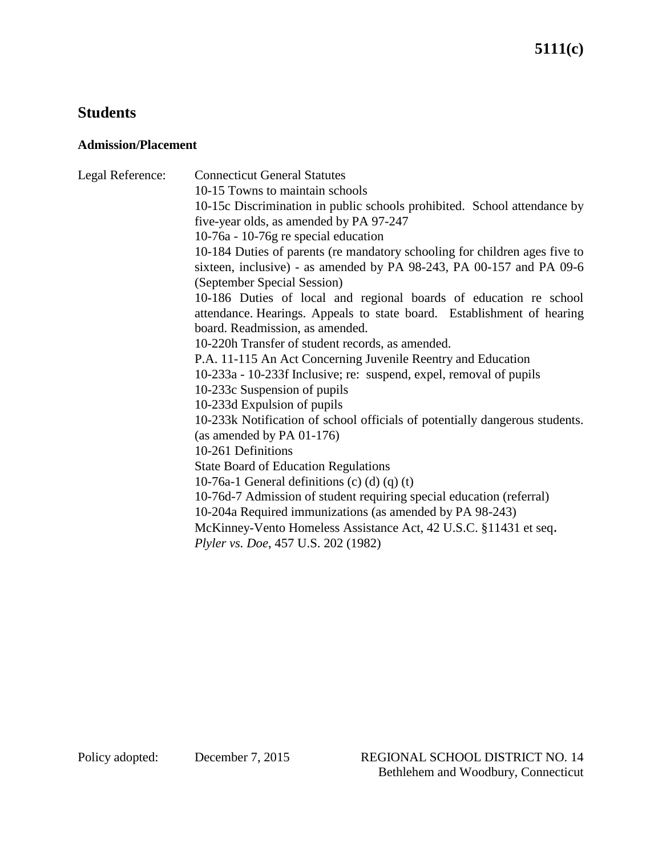## **Students**

### **Admission/Placement**

Legal Reference: Connecticut General Statutes 10-15 Towns to maintain schools 10-15c Discrimination in public schools prohibited. School attendance by five-year olds, as amended by PA 97-247 10-76a - 10-76g re special education 10-184 Duties of parents (re mandatory schooling for children ages five to sixteen, inclusive) - as amended by PA 98-243, PA 00-157 and PA 09-6 (September Special Session) 10-186 Duties of local and regional boards of education re school attendance. Hearings. Appeals to state board. Establishment of hearing board. Readmission, as amended. 10-220h Transfer of student records, as amended. P.A. 11-115 An Act Concerning Juvenile Reentry and Education 10-233a - 10-233f Inclusive; re: suspend, expel, removal of pupils 10-233c Suspension of pupils 10-233d Expulsion of pupils 10-233k Notification of school officials of potentially dangerous students. (as amended by PA 01-176) 10-261 Definitions State Board of Education Regulations 10-76a-1 General definitions  $(c)$   $(d)$   $(q)$   $(t)$ 10-76d-7 Admission of student requiring special education (referral) 10-204a Required immunizations (as amended by PA 98-243) McKinney-Vento Homeless Assistance Act, 42 U.S.C. §11431 et seq. *Plyler vs. Doe*, 457 U.S. 202 (1982)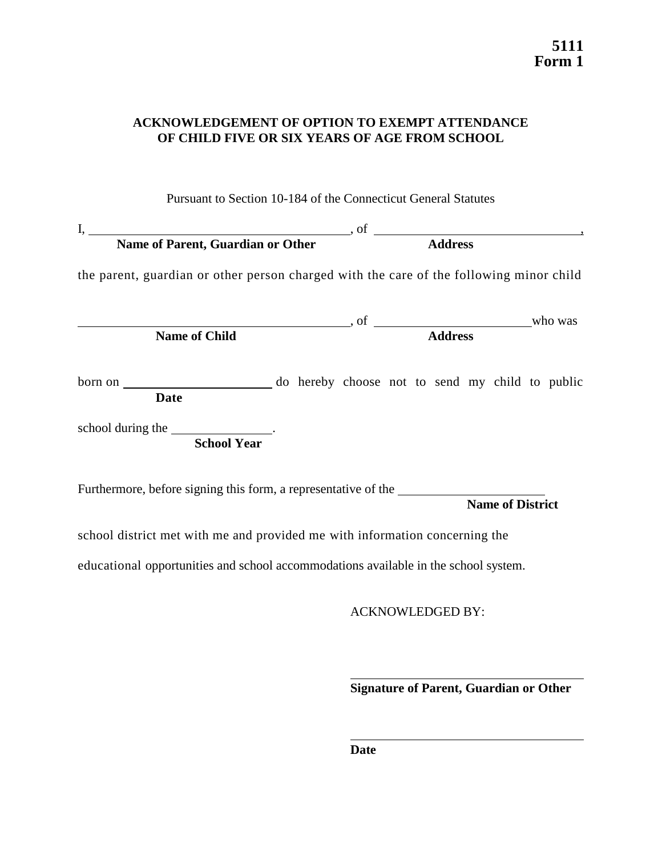### **ACKNOWLEDGEMENT OF OPTION TO EXEMPT ATTENDANCE OF CHILD FIVE OR SIX YEARS OF AGE FROM SCHOOL**

### Pursuant to Section 10-184 of the Connecticut General Statutes

| I, Name of Parent, Guardian or Other Address                                                                                                                                                                                  |  |                         |                         |  |
|-------------------------------------------------------------------------------------------------------------------------------------------------------------------------------------------------------------------------------|--|-------------------------|-------------------------|--|
| the parent, guardian or other person charged with the care of the following minor child                                                                                                                                       |  |                         |                         |  |
|                                                                                                                                                                                                                               |  |                         |                         |  |
| Name of Child 30 and Child 30 and Child 30 and 20 and 20 and 20 and 20 and 20 and 20 and 20 and 20 and 20 and 20 and 20 and 20 and 20 and 20 and 20 and 20 and 20 and 20 and 20 and 20 and 20 and 20 and 20 and 20 and 20 and |  |                         |                         |  |
| <b>Date</b>                                                                                                                                                                                                                   |  |                         |                         |  |
| school during the ________________.<br><b>School Year</b>                                                                                                                                                                     |  |                         |                         |  |
| Furthermore, before signing this form, a representative of the                                                                                                                                                                |  |                         | <b>Name of District</b> |  |
| school district met with me and provided me with information concerning the                                                                                                                                                   |  |                         |                         |  |
| educational opportunities and school accommodations available in the school system.                                                                                                                                           |  |                         |                         |  |
|                                                                                                                                                                                                                               |  | <b>ACKNOWLEDGED BY:</b> |                         |  |

**Signature of Parent, Guardian or Other**

**Date**